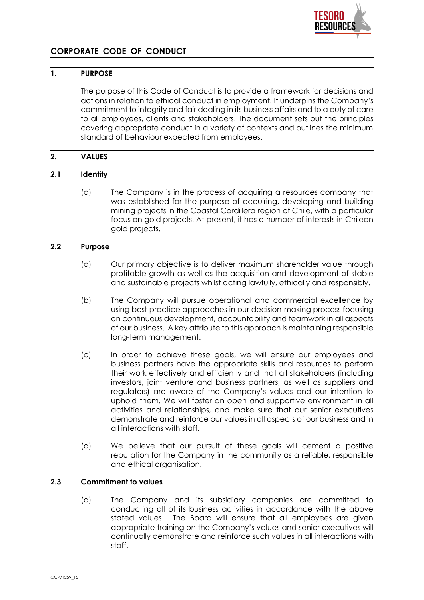

# **CORPORATE CODE OF CONDUCT**

## **1. PURPOSE**

The purpose of this Code of Conduct is to provide a framework for decisions and actions in relation to ethical conduct in employment. It underpins the Company's commitment to integrity and fair dealing in its business affairs and to a duty of care to all employees, clients and stakeholders. The document sets out the principles covering appropriate conduct in a variety of contexts and outlines the minimum standard of behaviour expected from employees.

## **2. VALUES**

### **2.1 Identity**

(a) The Company is in the process of acquiring a resources company that was established for the purpose of acquiring, developing and building mining projects in the Coastal Cordillera region of Chile, with a particular focus on gold projects. At present, it has a number of interests in Chilean gold projects.

## **2.2 Purpose**

- (a) Our primary objective is to deliver maximum shareholder value through profitable growth as well as the acquisition and development of stable and sustainable projects whilst acting lawfully, ethically and responsibly.
- (b) The Company will pursue operational and commercial excellence by using best practice approaches in our decision-making process focusing on continuous development, accountability and teamwork in all aspects of our business. A key attribute to this approach is maintaining responsible long-term management.
- (c) In order to achieve these goals, we will ensure our employees and business partners have the appropriate skills and resources to perform their work effectively and efficiently and that all stakeholders (including investors, joint venture and business partners, as well as suppliers and regulators) are aware of the Company's values and our intention to uphold them. We will foster an open and supportive environment in all activities and relationships, and make sure that our senior executives demonstrate and reinforce our values in all aspects of our business and in all interactions with staff.
- (d) We believe that our pursuit of these goals will cement a positive reputation for the Company in the community as a reliable, responsible and ethical organisation.

### **2.3 Commitment to values**

(a) The Company and its subsidiary companies are committed to conducting all of its business activities in accordance with the above stated values. The Board will ensure that all employees are given appropriate training on the Company's values and senior executives will continually demonstrate and reinforce such values in all interactions with staff.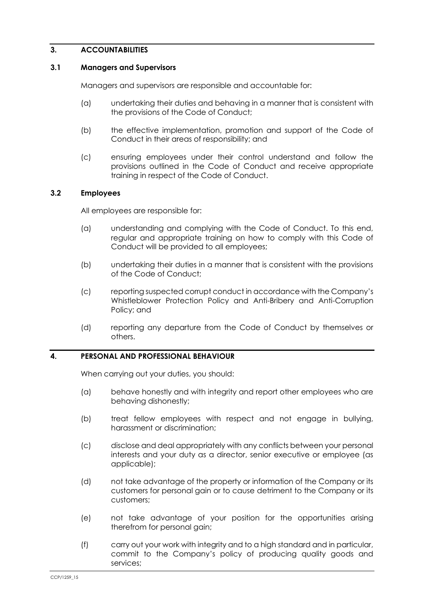## **3. ACCOUNTABILITIES**

#### **3.1 Managers and Supervisors**

Managers and supervisors are responsible and accountable for:

- (a) undertaking their duties and behaving in a manner that is consistent with the provisions of the Code of Conduct;
- (b) the effective implementation, promotion and support of the Code of Conduct in their areas of responsibility; and
- (c) ensuring employees under their control understand and follow the provisions outlined in the Code of Conduct and receive appropriate training in respect of the Code of Conduct.

### **3.2 Employees**

All employees are responsible for:

- (a) understanding and complying with the Code of Conduct. To this end, regular and appropriate training on how to comply with this Code of Conduct will be provided to all employees;
- (b) undertaking their duties in a manner that is consistent with the provisions of the Code of Conduct;
- (c) reporting suspected corrupt conduct in accordance with the Company's Whistleblower Protection Policy and Anti-Bribery and Anti-Corruption Policy; and
- (d) reporting any departure from the Code of Conduct by themselves or others.

#### **4. PERSONAL AND PROFESSIONAL BEHAVIOUR**

When carrying out your duties, you should:

- (a) behave honestly and with integrity and report other employees who are behaving dishonestly;
- (b) treat fellow employees with respect and not engage in bullying, harassment or discrimination;
- (c) disclose and deal appropriately with any conflicts between your personal interests and your duty as a director, senior executive or employee (as applicable);
- (d) not take advantage of the property or information of the Company or its customers for personal gain or to cause detriment to the Company or its customers;
- (e) not take advantage of your position for the opportunities arising therefrom for personal gain;
- (f) carry out your work with integrity and to a high standard and in particular, commit to the Company's policy of producing quality goods and services;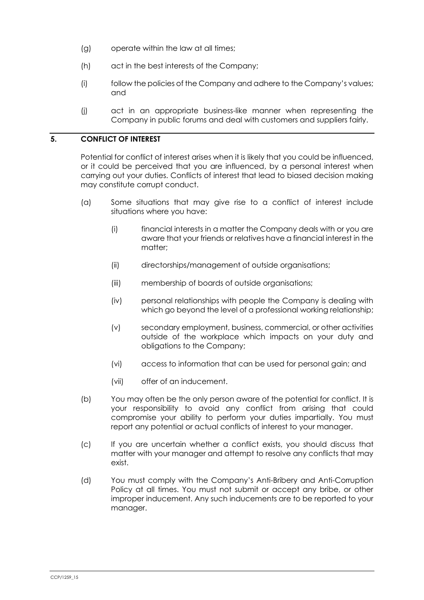- (g) operate within the law at all times;
- (h) act in the best interests of the Company;
- (i) follow the policies of the Company and adhere to the Company's values; and
- (j) act in an appropriate business-like manner when representing the Company in public forums and deal with customers and suppliers fairly.

## **5. CONFLICT OF INTEREST**

Potential for conflict of interest arises when it is likely that you could be influenced, or it could be perceived that you are influenced, by a personal interest when carrying out your duties. Conflicts of interest that lead to biased decision making may constitute corrupt conduct.

- (a) Some situations that may give rise to a conflict of interest include situations where you have:
	- (i) financial interests in a matter the Company deals with or you are aware that your friends or relatives have a financial interest in the matter;
	- (ii) directorships/management of outside organisations;
	- (iii) membership of boards of outside organisations;
	- (iv) personal relationships with people the Company is dealing with which go beyond the level of a professional working relationship;
	- (v) secondary employment, business, commercial, or other activities outside of the workplace which impacts on your duty and obligations to the Company;
	- (vi) access to information that can be used for personal gain; and
	- (vii) offer of an inducement.
- (b) You may often be the only person aware of the potential for conflict. It is your responsibility to avoid any conflict from arising that could compromise your ability to perform your duties impartially. You must report any potential or actual conflicts of interest to your manager.
- (c) If you are uncertain whether a conflict exists, you should discuss that matter with your manager and attempt to resolve any conflicts that may exist.
- (d) You must comply with the Company's Anti-Bribery and Anti-Corruption Policy at all times. You must not submit or accept any bribe, or other improper inducement. Any such inducements are to be reported to your manager.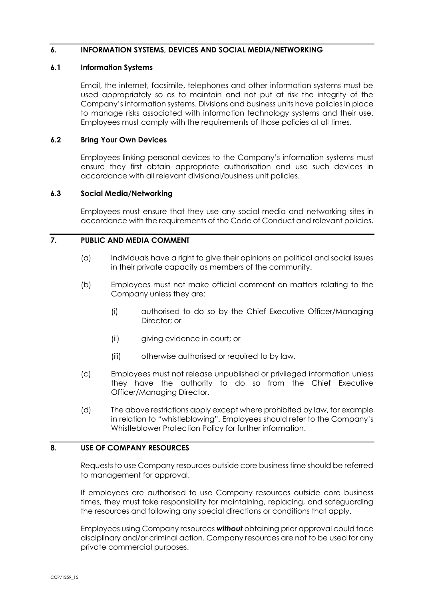### **6. INFORMATION SYSTEMS, DEVICES AND SOCIAL MEDIA/NETWORKING**

#### **6.1 Information Systems**

Email, the internet, facsimile, telephones and other information systems must be used appropriately so as to maintain and not put at risk the integrity of the Company's information systems. Divisions and business units have policies in place to manage risks associated with information technology systems and their use. Employees must comply with the requirements of those policies at all times.

#### **6.2 Bring Your Own Devices**

Employees linking personal devices to the Company's information systems must ensure they first obtain appropriate authorisation and use such devices in accordance with all relevant divisional/business unit policies.

#### **6.3 Social Media/Networking**

Employees must ensure that they use any social media and networking sites in accordance with the requirements of the Code of Conduct and relevant policies.

## **7. PUBLIC AND MEDIA COMMENT**

- (a) Individuals have a right to give their opinions on political and social issues in their private capacity as members of the community.
- (b) Employees must not make official comment on matters relating to the Company unless they are:
	- (i) authorised to do so by the Chief Executive Officer/Managing Director; or
	- (ii) giving evidence in court; or
	- (iii) otherwise authorised or required to by law.
- (c) Employees must not release unpublished or privileged information unless they have the authority to do so from the Chief Executive Officer/Managing Director.
- (d) The above restrictions apply except where prohibited by law, for example in relation to "whistleblowing". Employees should refer to the Company's Whistleblower Protection Policy for further information.

### **8. USE OF COMPANY RESOURCES**

Requests to use Company resources outside core business time should be referred to management for approval.

If employees are authorised to use Company resources outside core business times, they must take responsibility for maintaining, replacing, and safeguarding the resources and following any special directions or conditions that apply.

Employees using Company resources *without* obtaining prior approval could face disciplinary and/or criminal action. Company resources are not to be used for any private commercial purposes.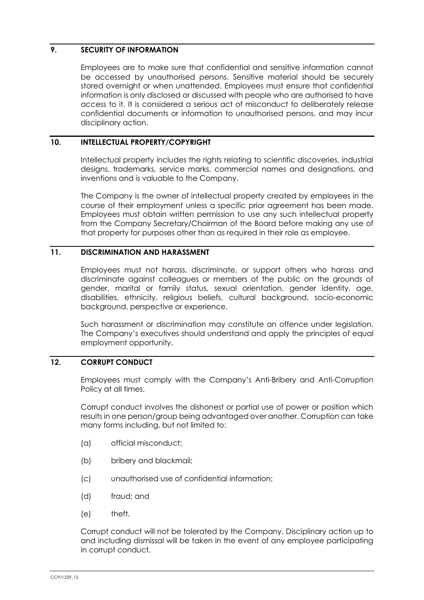## **9. SECURITY OF INFORMATION**

Employees are to make sure that confidential and sensitive information cannot be accessed by unauthorised persons. Sensitive material should be securely stored overnight or when unattended. Employees must ensure that confidential information is only disclosed or discussed with people who are authorised to have access to it. It is considered a serious act of misconduct to deliberately release confidential documents or information to unauthorised persons, and may incur disciplinary action.

## **10. INTELLECTUAL PROPERTY/COPYRIGHT**

Intellectual property includes the rights relating to scientific discoveries, industrial designs, trademarks, service marks, commercial names and designations, and inventions and is valuable to the Company.

The Company is the owner of intellectual property created by employees in the course of their employment unless a specific prior agreement has been made. Employees must obtain written permission to use any such intellectual property from the Company Secretary/Chairman of the Board before making any use of that property for purposes other than as required in their role as employee.

## **11. DISCRIMINATION AND HARASSMENT**

Employees must not harass, discriminate, or support others who harass and discriminate against colleagues or members of the public on the grounds of gender, marital or family status, sexual orientation, gender identity, age, disabilities, ethnicity, religious beliefs, cultural background, socio-economic background, perspective or experience.

Such harassment or discrimination may constitute an offence under legislation. The Company's executives should understand and apply the principles of equal employment opportunity.

## **12. CORRUPT CONDUCT**

Employees must comply with the Company's Anti-Bribery and Anti-Corruption Policy at all times.

Corrupt conduct involves the dishonest or partial use of power or position which results in one person/group being advantaged over another. Corruption can take many forms including, but not limited to:

- (a) official misconduct;
- (b) bribery and blackmail;
- (c) unauthorised use of confidential information;
- (d) fraud; and
- (e) theft.

Corrupt conduct will not be tolerated by the Company. Disciplinary action up to and including dismissal will be taken in the event of any employee participating in corrupt conduct.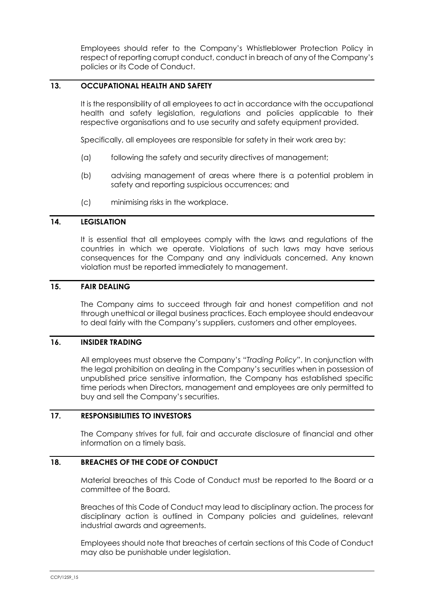Employees should refer to the Company's Whistleblower Protection Policy in respect of reporting corrupt conduct, conduct in breach of any of the Company's policies or its Code of Conduct.

## **13. OCCUPATIONAL HEALTH AND SAFETY**

It is the responsibility of all employees to act in accordance with the occupational health and safety legislation, regulations and policies applicable to their respective organisations and to use security and safety equipment provided.

Specifically, all employees are responsible for safety in their work area by:

- (a) following the safety and security directives of management;
- (b) advising management of areas where there is a potential problem in safety and reporting suspicious occurrences; and
- (c) minimising risks in the workplace.

#### **14. LEGISLATION**

It is essential that all employees comply with the laws and regulations of the countries in which we operate. Violations of such laws may have serious consequences for the Company and any individuals concerned. Any known violation must be reported immediately to management.

### **15. FAIR DEALING**

The Company aims to succeed through fair and honest competition and not through unethical or illegal business practices. Each employee should endeavour to deal fairly with the Company's suppliers, customers and other employees.

#### **16. INSIDER TRADING**

All employees must observe the Company's "*Trading Policy*". In conjunction with the legal prohibition on dealing in the Company's securities when in possession of unpublished price sensitive information, the Company has established specific time periods when Directors, management and employees are only permitted to buy and sell the Company's securities.

#### **17. RESPONSIBILITIES TO INVESTORS**

The Company strives for full, fair and accurate disclosure of financial and other information on a timely basis.

#### **18. BREACHES OF THE CODE OF CONDUCT**

Material breaches of this Code of Conduct must be reported to the Board or a committee of the Board.

Breaches of this Code of Conduct may lead to disciplinary action. The process for disciplinary action is outlined in Company policies and guidelines, relevant industrial awards and agreements.

Employees should note that breaches of certain sections of this Code of Conduct may also be punishable under legislation.